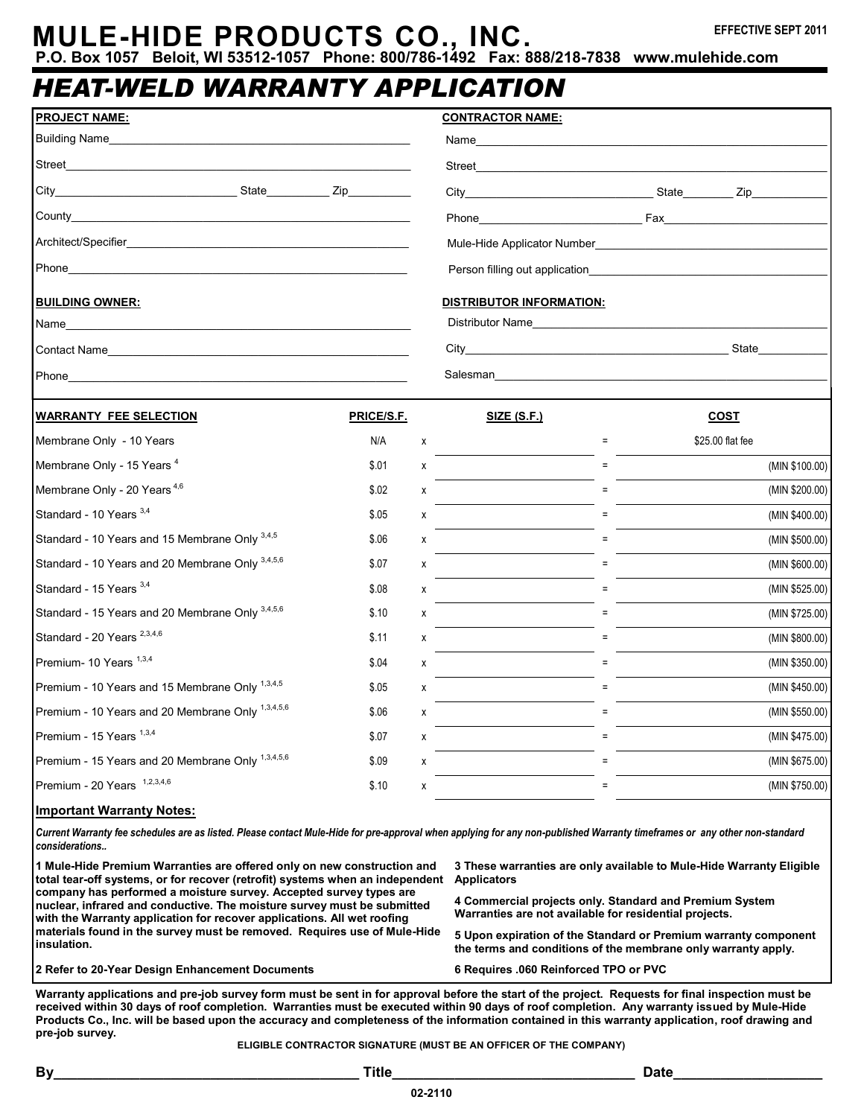# **MULE-HIDE PRODUCTS CO., INC.**

**P.O. Box 1057 Beloit, WI 53512-1057 Phone: 800/786-1492 Fax: 888/218-7838 www.mulehide.com**

### *HEAT-WELD WARRANTY APPLICATION*

| <b>PROJECT NAME:</b>                                                                                                                                                                                                                    |            |              | <b>CONTRACTOR NAME:</b>                                                                                                                                                                                                        |                  |                |
|-----------------------------------------------------------------------------------------------------------------------------------------------------------------------------------------------------------------------------------------|------------|--------------|--------------------------------------------------------------------------------------------------------------------------------------------------------------------------------------------------------------------------------|------------------|----------------|
| Building Name<br>and the control of the control of the control of the control of the control of the control of the control of the                                                                                                       |            |              | Name and the contract of the contract of the contract of the contract of the contract of the contract of the contract of the contract of the contract of the contract of the contract of the contract of the contract of the c |                  |                |
|                                                                                                                                                                                                                                         |            |              |                                                                                                                                                                                                                                |                  |                |
|                                                                                                                                                                                                                                         |            |              |                                                                                                                                                                                                                                |                  |                |
|                                                                                                                                                                                                                                         |            |              |                                                                                                                                                                                                                                |                  |                |
| Architect/Specifier <b>Executive Section</b> 2014 12:30 Architect/Specifier                                                                                                                                                             |            |              |                                                                                                                                                                                                                                |                  |                |
|                                                                                                                                                                                                                                         |            |              |                                                                                                                                                                                                                                |                  |                |
|                                                                                                                                                                                                                                         |            |              |                                                                                                                                                                                                                                |                  |                |
| <b>BUILDING OWNER:</b>                                                                                                                                                                                                                  |            |              | <b>DISTRIBUTOR INFORMATION:</b>                                                                                                                                                                                                |                  |                |
|                                                                                                                                                                                                                                         |            |              | Distributor Name                                                                                                                                                                                                               |                  |                |
|                                                                                                                                                                                                                                         |            |              |                                                                                                                                                                                                                                |                  |                |
| Phone_<br>the control of the control of the control of the control of the control of the control of the control of the control of the control of the control of the control of the control of the control of the control of the control |            |              | Salesman and the state of the state of the state of the state of the state of the state of the state of the state of the state of the state of the state of the state of the state of the state of the state of the state of t |                  |                |
| <b>WARRANTY FEE SELECTION</b>                                                                                                                                                                                                           | PRICE/S.F. |              | <u>SIZE (S.F.)</u>                                                                                                                                                                                                             | <b>COST</b>      |                |
| Membrane Only - 10 Years                                                                                                                                                                                                                | N/A        | $\mathsf{x}$ | $\equiv$                                                                                                                                                                                                                       | \$25.00 flat fee |                |
| Membrane Only - 15 Years <sup>4</sup>                                                                                                                                                                                                   | \$.01      | X            |                                                                                                                                                                                                                                |                  | (MIN \$100.00) |
| Membrane Only - 20 Years <sup>4,6</sup>                                                                                                                                                                                                 | \$.02      | X            | $=$                                                                                                                                                                                                                            |                  | (MIN \$200.00) |
| Standard - 10 Years 3,4                                                                                                                                                                                                                 | \$.05      | X            |                                                                                                                                                                                                                                |                  | (MIN \$400.00) |
| Standard - 10 Years and 15 Membrane Only 3,4,5                                                                                                                                                                                          | \$.06      | X            |                                                                                                                                                                                                                                |                  | (MIN \$500.00) |
| Standard - 10 Years and 20 Membrane Only 3,4,5,6                                                                                                                                                                                        | \$.07      | X            |                                                                                                                                                                                                                                |                  | (MIN \$600.00) |
| Standard - 15 Years 3,4                                                                                                                                                                                                                 | \$.08      | x            | $=$                                                                                                                                                                                                                            |                  | (MIN \$525.00) |
| Standard - 15 Years and 20 Membrane Only 3,4,5,6                                                                                                                                                                                        | \$.10      | X            |                                                                                                                                                                                                                                |                  | (MIN \$725.00) |
| Standard - 20 Years <sup>2,3,4,6</sup>                                                                                                                                                                                                  | \$.11      | X            |                                                                                                                                                                                                                                |                  | (MIN \$800.00) |
| Premium- 10 Years 1,3,4                                                                                                                                                                                                                 | \$.04      | х            | $=$                                                                                                                                                                                                                            |                  | (MIN \$350.00) |
| Premium - 10 Years and 15 Membrane Only 1,3,4,5                                                                                                                                                                                         | \$.05      | X            |                                                                                                                                                                                                                                |                  | (MIN \$450.00) |
| Premium - 10 Years and 20 Membrane Only 1,3,4,5,6                                                                                                                                                                                       | \$.06      | X            |                                                                                                                                                                                                                                |                  | (MIN \$550.00) |
| Premium - 15 Years 1,3,4                                                                                                                                                                                                                | \$.07      | X            |                                                                                                                                                                                                                                |                  | (MIN \$475.00) |
| Premium - 15 Years and 20 Membrane Only 1,3,4,5,6                                                                                                                                                                                       | \$.09      | X            | $\equiv$                                                                                                                                                                                                                       |                  | (MIN \$675.00) |

Premium - 20 Years <sup>1,2,3,4,6</sup>

### **Important Warranty Notes:**

*Current Warranty fee schedules are as listed. Please contact Mule-Hide for pre-approval when applying for any non-published Warranty timeframes or any other non-standard considerations..*

**1 Mule-Hide Premium Warranties are offered only on new construction and total tear-off systems, or for recover (retrofit) systems when an independent Applicators company has performed a moisture survey. Accepted survey types are nuclear, infrared and conductive. The moisture survey must be submitted with the Warranty application for recover applications. All wet roofing materials found in the survey must be removed. Requires use of Mule-Hide insulation.**

**3 These warranties are only available to Mule-Hide Warranty Eligible** 

**4 Commercial projects only. Standard and Premium System Warranties are not available for residential projects.**

**5 Upon expiration of the Standard or Premium warranty component the terms and conditions of the membrane only warranty apply.**

**2 Refer to 20-Year Design Enhancement Documents 6 Requires .060 Reinforced TPO or PVC**

 $$.10$  x  $$750.00$ 

**Warranty applications and pre-job survey form must be sent in for approval before the start of the project. Requests for final inspection must be received within 30 days of roof completion. Warranties must be executed within 90 days of roof completion. Any warranty issued by Mule-Hide Products Co., Inc. will be based upon the accuracy and completeness of the information contained in this warranty application, roof drawing and pre-job survey.**

**ELIGIBLE CONTRACTOR SIGNATURE (MUST BE AN OFFICER OF THE COMPANY)**

**02-2110**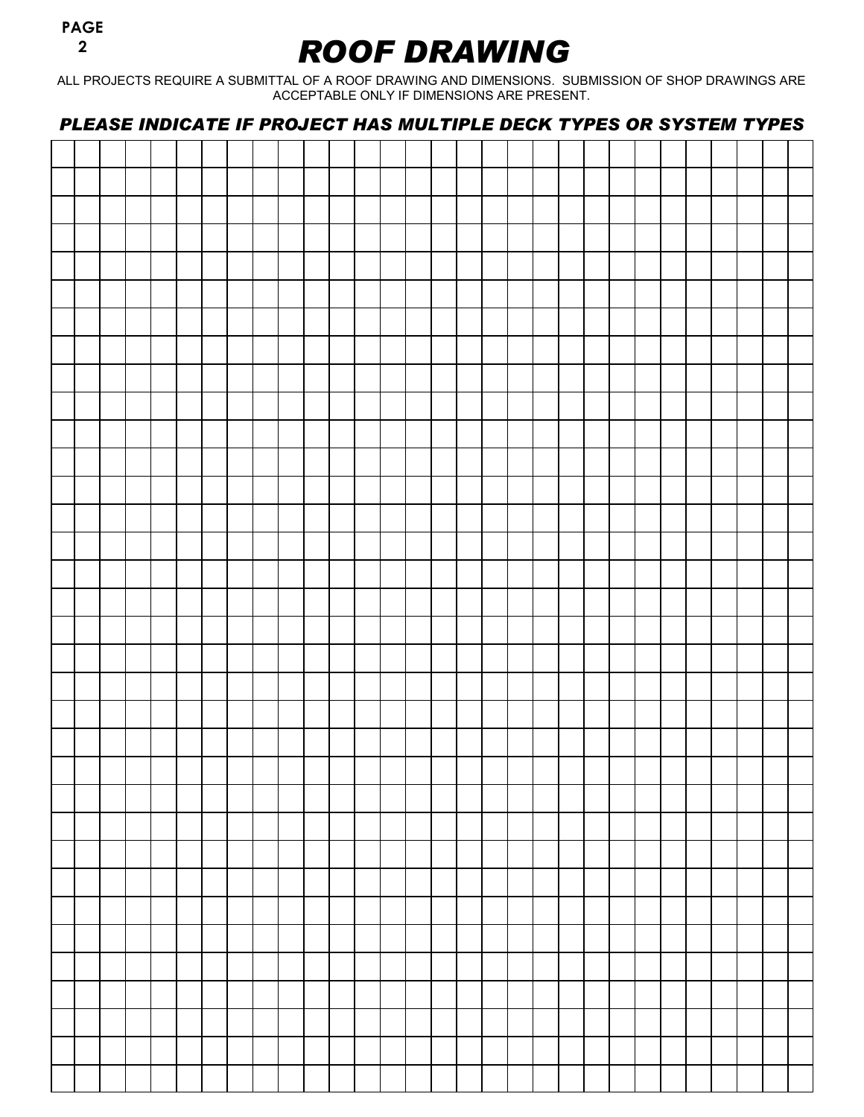### *ROOF DRAWING*

ALL PROJECTS REQUIRE A SUBMITTAL OF A ROOF DRAWING AND DIMENSIONS. SUBMISSION OF SHOP DRAWINGS ARE ACCEPTABLE ONLY IF DIMENSIONS ARE PRESENT.

*PLEASE INDICATE IF PROJECT HAS MULTIPLE DECK TYPES OR SYSTEM TYPES*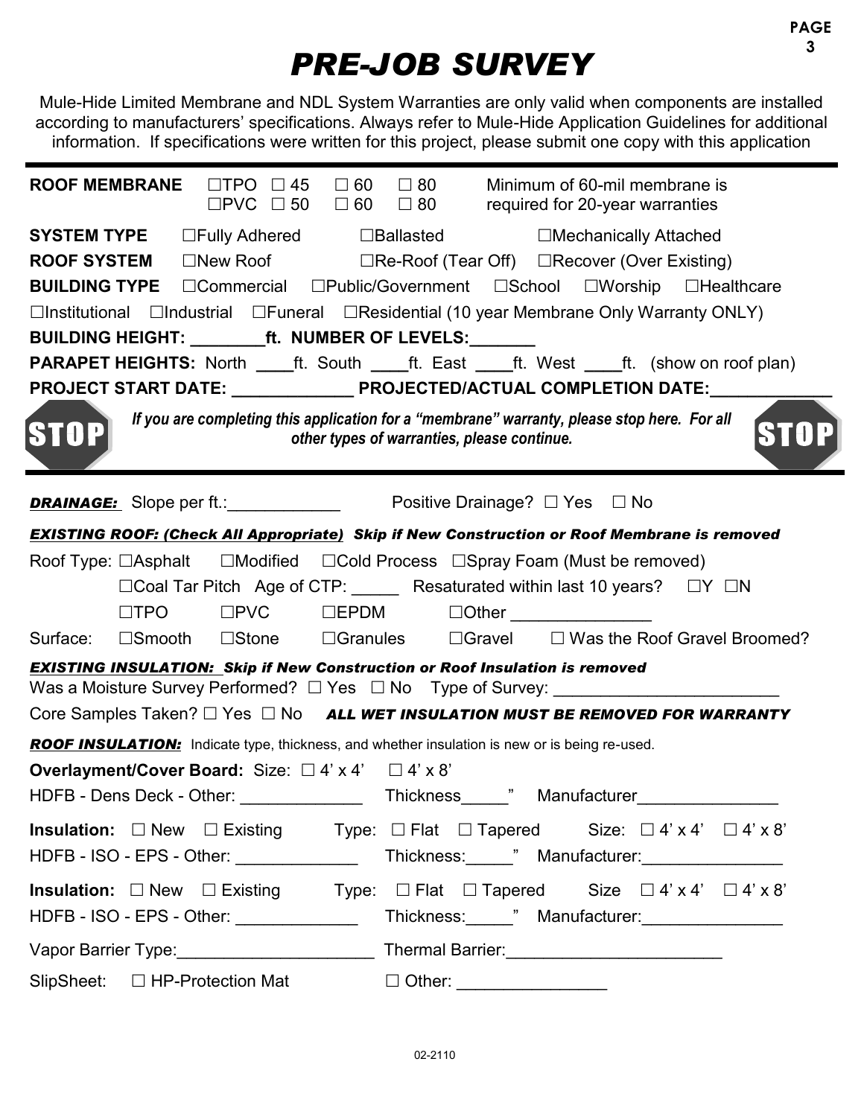## *PRE-JOB SURVEY*

Mule-Hide Limited Membrane and NDL System Warranties are only valid when components are installed according to manufacturers' specifications. Always refer to Mule-Hide Application Guidelines for additional information. If specifications were written for this project, please submit one copy with this application

| <b>ROOF MEMBRANE</b> $\Box$ TPO $\Box$ 45 $\Box$ 60 $\Box$ 80 Minimum of 60-mil membrane is                                                                                                                               | $\square$ PVC $\square$ 50 $\square$ 60 $\square$ 80 required for 20-year warranties |
|---------------------------------------------------------------------------------------------------------------------------------------------------------------------------------------------------------------------------|--------------------------------------------------------------------------------------|
| <b>SYSTEM TYPE Dealler DEALER DEALER DEALER UP:</b> 0.000 DEALER DEALER DEALER DEALER DEALER DEALER DEALER                                                                                                                |                                                                                      |
| <b>ROOF SYSTEM</b> □New Roof □Re-Roof (Tear Off) □Recover (Over Existing)                                                                                                                                                 |                                                                                      |
| <b>BUILDING TYPE</b> □ Commercial □ Public/Government □ School □ Worship □ Healthcare                                                                                                                                     |                                                                                      |
| $\Box$ Institutional $\Box$ Industrial $\Box$ Funeral $\Box$ Residential (10 year Membrane Only Warranty ONLY)                                                                                                            |                                                                                      |
| BUILDING HEIGHT: __________ft. NUMBER OF LEVELS: _______                                                                                                                                                                  |                                                                                      |
| <b>PARAPET HEIGHTS:</b> North ____ft. South ____ft. East ____ft. West ____ft. (show on roof plan)                                                                                                                         |                                                                                      |
| PROJECT START DATE: _________________ PROJECTED/ACTUAL COMPLETION DATE: ________                                                                                                                                          |                                                                                      |
| If you are completing this application for a "membrane" warranty, please stop here. For all<br><b>STO</b><br>other types of warranties, please continue.                                                                  |                                                                                      |
| <b>DRAINAGE:</b> Slope per ft.: Positive Drainage? □ Yes □ No                                                                                                                                                             |                                                                                      |
| <b>EXISTING ROOF: (Check All Appropriate)</b> Skip if New Construction or Roof Membrane is removed                                                                                                                        |                                                                                      |
| Roof Type: □Asphalt □Modified □Cold Process □Spray Foam (Must be removed)                                                                                                                                                 |                                                                                      |
| □ Coal Tar Pitch Age of CTP: _____ Resaturated within last 10 years? □ Y □ N                                                                                                                                              |                                                                                      |
| $\square \textsf{PVC} \qquad \square \textsf{EPDM} \qquad \square \textsf{Other} \underline{\hspace{2cm}} \underline{\hspace{2cm}} \square \dots \square$<br>$\square$ TPO                                                |                                                                                      |
| Surface: □Smooth □Stone □Granules □Gravel □ Was the Roof Gravel Broomed?                                                                                                                                                  |                                                                                      |
| <b>EXISTING INSULATION: Skip if New Construction or Roof Insulation is removed</b><br>Core Samples Taken? $\Box$ Yes $\Box$ No ALL WET INSULATION MUST BE REMOVED FOR WARRANTY                                            |                                                                                      |
| <b>ROOF INSULATION:</b> Indicate type, thickness, and whether insulation is new or is being re-used.                                                                                                                      |                                                                                      |
| <b>Overlayment/Cover Board:</b> Size: $\Box$ 4' x 4' $\Box$ 4' x 8'                                                                                                                                                       |                                                                                      |
| HDFB - Dens Deck - Other:                                                                                                                                                                                                 | Thickness " Manufacturer                                                             |
| <b>Insulation:</b> $\Box$ New $\Box$ Existing Type: $\Box$ Flat $\Box$ Tapered Size: $\Box$ 4' x 4' $\Box$ 4' x 8'<br>HDFB - ISO - EPS - Other: _____________________Thickness:______" Manufacturer:_____________________ |                                                                                      |
| <b>Insulation:</b> $\Box$ New $\Box$ Existing Type: $\Box$ Flat $\Box$ Tapered Size $\Box$ 4' x 4' $\Box$ 4' x 8'<br>HDFB - ISO - EPS - Other: ______________________Thickness:______" Manufacturer:____________________  |                                                                                      |
|                                                                                                                                                                                                                           |                                                                                      |
|                                                                                                                                                                                                                           |                                                                                      |